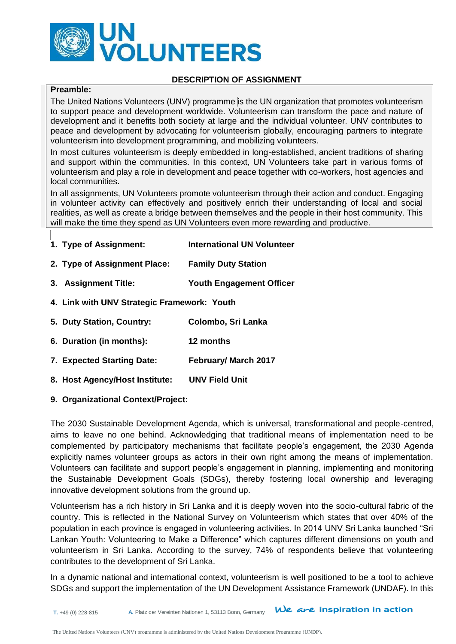

#### **DESCRIPTION OF ASSIGNMENT**

## **Preamble:**

The United Nations Volunteers (UNV) programme is the UN organization that promotes volunteerism to support peace and development worldwide. Volunteerism can transform the pace and nature of development and it benefits both society at large and the individual volunteer. UNV contributes to peace and development by advocating for volunteerism globally, encouraging partners to integrate volunteerism into development programming, and mobilizing volunteers.

In most cultures volunteerism is deeply embedded in long-established, ancient traditions of sharing and support within the communities. In this context, UN Volunteers take part in various forms of volunteerism and play a role in development and peace together with co-workers, host agencies and local communities.

In all assignments, UN Volunteers promote volunteerism through their action and conduct. Engaging in volunteer activity can effectively and positively enrich their understanding of local and social realities, as well as create a bridge between themselves and the people in their host community. This will make the time they spend as UN Volunteers even more rewarding and productive.

| 1. Type of Assignment:                      | <b>International UN Volunteer</b> |
|---------------------------------------------|-----------------------------------|
| 2. Type of Assignment Place:                | <b>Family Duty Station</b>        |
| 3. Assignment Title:                        | <b>Youth Engagement Officer</b>   |
| 4. Link with UNV Strategic Framework: Youth |                                   |
| 5. Duty Station, Country:                   | Colombo, Sri Lanka                |
| 6. Duration (in months):                    | 12 months                         |
| 7. Expected Starting Date:                  | <b>February/ March 2017</b>       |
| 8. Host Agency/Host Institute:              | <b>UNV Field Unit</b>             |
|                                             |                                   |

#### **9. Organizational Context/Project:**

The 2030 Sustainable Development Agenda, which is universal, transformational and people-centred, aims to leave no one behind. Acknowledging that traditional means of implementation need to be complemented by participatory mechanisms that facilitate people's engagement, the 2030 Agenda explicitly names volunteer groups as actors in their own right among the means of implementation. Volunteers can facilitate and support people's engagement in planning, implementing and monitoring the Sustainable Development Goals (SDGs), thereby fostering local ownership and leveraging innovative development solutions from the ground up.

Volunteerism has a rich history in Sri Lanka and it is deeply woven into the socio-cultural fabric of the country. This is reflected in the National Survey on Volunteerism which states that over 40% of the population in each province is engaged in volunteering activities. In 2014 UNV Sri Lanka launched "Sri Lankan Youth: Volunteering to Make a Difference" which captures different dimensions on youth and volunteerism in Sri Lanka. According to the survey, 74% of respondents believe that volunteering contributes to the development of Sri Lanka.

In a dynamic national and international context, volunteerism is well positioned to be a tool to achieve SDGs and support the implementation of the UN Development Assistance Framework (UNDAF). In this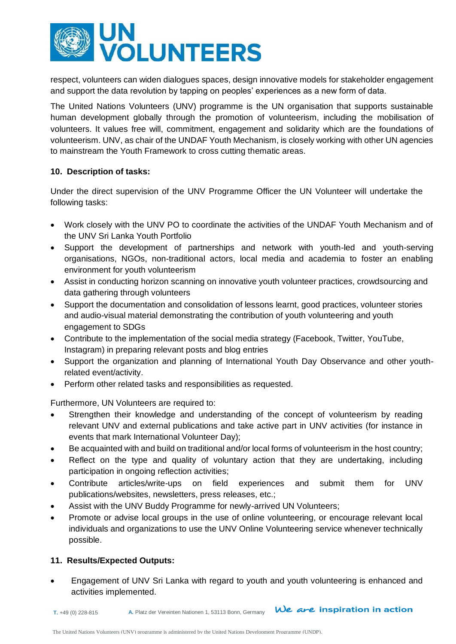

respect, volunteers can widen dialogues spaces, design innovative models for stakeholder engagement and support the data revolution by tapping on peoples' experiences as a new form of data.

The United Nations Volunteers (UNV) programme is the UN organisation that supports sustainable human development globally through the promotion of volunteerism, including the mobilisation of volunteers. It values free will, commitment, engagement and solidarity which are the foundations of volunteerism. UNV, as chair of the UNDAF Youth Mechanism, is closely working with other UN agencies to mainstream the Youth Framework to cross cutting thematic areas.

## **10. Description of tasks:**

Under the direct supervision of the UNV Programme Officer the UN Volunteer will undertake the following tasks:

- Work closely with the UNV PO to coordinate the activities of the UNDAF Youth Mechanism and of the UNV Sri Lanka Youth Portfolio
- Support the development of partnerships and network with youth-led and youth-serving organisations, NGOs, non-traditional actors, local media and academia to foster an enabling environment for youth volunteerism
- Assist in conducting horizon scanning on innovative youth volunteer practices, crowdsourcing and data gathering through volunteers
- Support the documentation and consolidation of lessons learnt, good practices, volunteer stories and audio-visual material demonstrating the contribution of youth volunteering and youth engagement to SDGs
- Contribute to the implementation of the social media strategy (Facebook, Twitter, YouTube, Instagram) in preparing relevant posts and blog entries
- Support the organization and planning of International Youth Day Observance and other youthrelated event/activity.
- Perform other related tasks and responsibilities as requested.

Furthermore, UN Volunteers are required to:

- Strengthen their knowledge and understanding of the concept of volunteerism by reading relevant UNV and external publications and take active part in UNV activities (for instance in events that mark International Volunteer Day);
- Be acquainted with and build on traditional and/or local forms of volunteerism in the host country;
- Reflect on the type and quality of voluntary action that they are undertaking, including participation in ongoing reflection activities;
- Contribute articles/write-ups on field experiences and submit them for UNV publications/websites, newsletters, press releases, etc.;
- Assist with the UNV Buddy Programme for newly-arrived UN Volunteers;
- Promote or advise local groups in the use of online volunteering, or encourage relevant local individuals and organizations to use the UNV Online Volunteering service whenever technically possible.

# **11. Results/Expected Outputs:**

 Engagement of UNV Sri Lanka with regard to youth and youth volunteering is enhanced and activities implemented.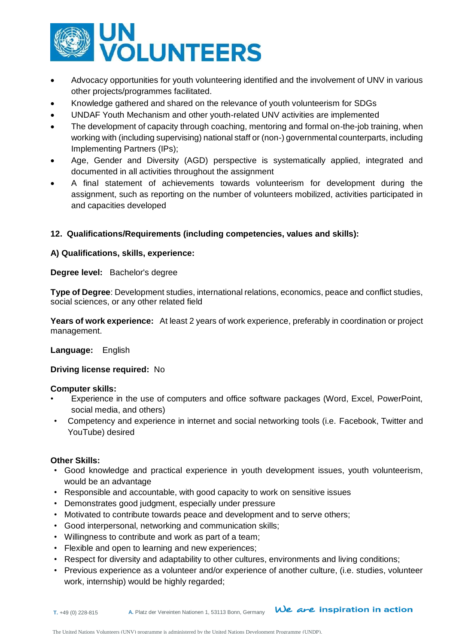

- Advocacy opportunities for youth volunteering identified and the involvement of UNV in various other projects/programmes facilitated.
- Knowledge gathered and shared on the relevance of youth volunteerism for SDGs
- UNDAF Youth Mechanism and other youth-related UNV activities are implemented
- The development of capacity through coaching, mentoring and formal on-the-job training, when working with (including supervising) national staff or (non-) governmental counterparts, including Implementing Partners (IPs);
- Age, Gender and Diversity (AGD) perspective is systematically applied, integrated and documented in all activities throughout the assignment
- A final statement of achievements towards volunteerism for development during the assignment, such as reporting on the number of volunteers mobilized, activities participated in and capacities developed

# **12. Qualifications/Requirements (including competencies, values and skills):**

## **A) Qualifications, skills, experience:**

**Degree level:** Bachelor's degree

**Type of Degree**: Development studies, international relations, economics, peace and conflict studies, social sciences, or any other related field

**Years of work experience:** At least 2 years of work experience, preferably in coordination or project management.

### **Language:** English

### **Driving license required:** No

### **Computer skills:**

- Experience in the use of computers and office software packages (Word, Excel, PowerPoint, social media, and others)
- Competency and experience in internet and social networking tools (i.e. Facebook, Twitter and YouTube) desired

### **Other Skills:**

- Good knowledge and practical experience in youth development issues, youth volunteerism, would be an advantage
- Responsible and accountable, with good capacity to work on sensitive issues
- Demonstrates good judgment, especially under pressure
- Motivated to contribute towards peace and development and to serve others;
- Good interpersonal, networking and communication skills;
- Willingness to contribute and work as part of a team;
- Flexible and open to learning and new experiences;
- Respect for diversity and adaptability to other cultures, environments and living conditions;
- Previous experience as a volunteer and/or experience of another culture, (i.e. studies, volunteer work, internship) would be highly regarded;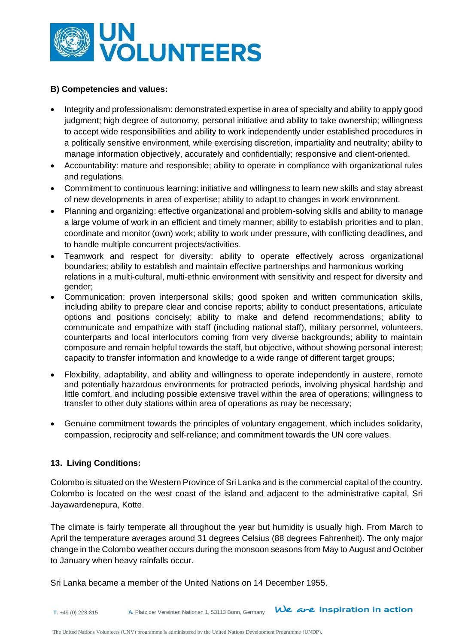

### **B) Competencies and values:**

- Integrity and professionalism: demonstrated expertise in area of specialty and ability to apply good judgment; high degree of autonomy, personal initiative and ability to take ownership; willingness to accept wide responsibilities and ability to work independently under established procedures in a politically sensitive environment, while exercising discretion, impartiality and neutrality; ability to manage information objectively, accurately and confidentially; responsive and client-oriented.
- Accountability: mature and responsible; ability to operate in compliance with organizational rules and regulations.
- Commitment to continuous learning: initiative and willingness to learn new skills and stay abreast of new developments in area of expertise; ability to adapt to changes in work environment.
- Planning and organizing: effective organizational and problem-solving skills and ability to manage a large volume of work in an efficient and timely manner; ability to establish priorities and to plan, coordinate and monitor (own) work; ability to work under pressure, with conflicting deadlines, and to handle multiple concurrent projects/activities.
- Teamwork and respect for diversity: ability to operate effectively across organizational boundaries; ability to establish and maintain effective partnerships and harmonious working relations in a multi-cultural, multi-ethnic environment with sensitivity and respect for diversity and gender;
- Communication: proven interpersonal skills; good spoken and written communication skills, including ability to prepare clear and concise reports; ability to conduct presentations, articulate options and positions concisely; ability to make and defend recommendations; ability to communicate and empathize with staff (including national staff), military personnel, volunteers, counterparts and local interlocutors coming from very diverse backgrounds; ability to maintain composure and remain helpful towards the staff, but objective, without showing personal interest; capacity to transfer information and knowledge to a wide range of different target groups;
- Flexibility, adaptability, and ability and willingness to operate independently in austere, remote and potentially hazardous environments for protracted periods, involving physical hardship and little comfort, and including possible extensive travel within the area of operations; willingness to transfer to other duty stations within area of operations as may be necessary;
- Genuine commitment towards the principles of voluntary engagement, which includes solidarity, compassion, reciprocity and self-reliance; and commitment towards the UN core values.

### **13. Living Conditions:**

Colombo is situated on the Western Province of Sri Lanka and is the commercial capital of the country. Colombo is located on the west coast of the island and adjacent to the administrative capital, Sri Jayawardenepura, Kotte.

The climate is fairly temperate all throughout the year but humidity is usually high. From March to April the temperature averages around 31 degrees Celsius (88 degrees Fahrenheit). The only major change in the Colombo weather occurs during the monsoon seasons from May to August and October to January when heavy rainfalls occur.

Sri Lanka became a member of the United Nations on 14 December 1955.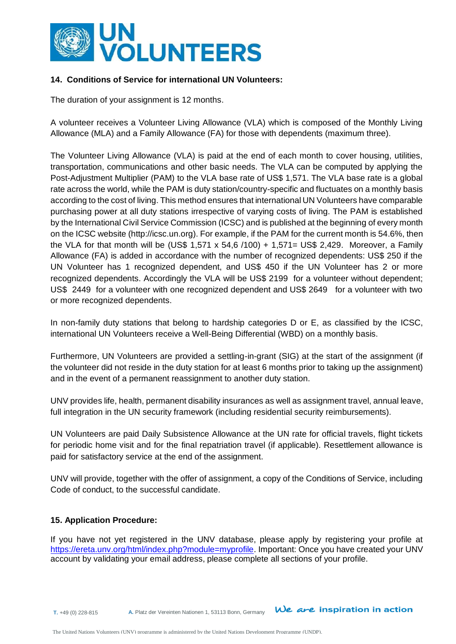

## **14. Conditions of Service for international UN Volunteers:**

The duration of your assignment is 12 months.

A volunteer receives a Volunteer Living Allowance (VLA) which is composed of the Monthly Living Allowance (MLA) and a Family Allowance (FA) for those with dependents (maximum three).

The Volunteer Living Allowance (VLA) is paid at the end of each month to cover housing, utilities, transportation, communications and other basic needs. The VLA can be computed by applying the Post-Adjustment Multiplier (PAM) to the VLA base rate of US\$ 1,571. The VLA base rate is a global rate across the world, while the PAM is duty station/country-specific and fluctuates on a monthly basis according to the cost of living. This method ensures that international UN Volunteers have comparable purchasing power at all duty stations irrespective of varying costs of living. The PAM is established by the International Civil Service Commission (ICSC) and is published at the beginning of every month on the ICSC website [\(http://icsc.un.org\)](http://icsc.un.org/). For example, if the PAM for the current month is 54.6%, then the VLA for that month will be (US\$ 1,571 x 54,6 /100) + 1,571= US\$ 2,429. Moreover, a Family Allowance (FA) is added in accordance with the number of recognized dependents: US\$ 250 if the UN Volunteer has 1 recognized dependent, and US\$ 450 if the UN Volunteer has 2 or more recognized dependents. Accordingly the VLA will be US\$ 2199 for a volunteer without dependent; US\$ 2449 for a volunteer with one recognized dependent and US\$ 2649 for a volunteer with two or more recognized dependents.

In non-family duty stations that belong to hardship categories D or E, as classified by the ICSC, international UN Volunteers receive a Well-Being Differential (WBD) on a monthly basis.

Furthermore, UN Volunteers are provided a settling-in-grant (SIG) at the start of the assignment (if the volunteer did not reside in the duty station for at least 6 months prior to taking up the assignment) and in the event of a permanent reassignment to another duty station.

UNV provides life, health, permanent disability insurances as well as assignment travel, annual leave, full integration in the UN security framework (including residential security reimbursements).

UN Volunteers are paid Daily Subsistence Allowance at the UN rate for official travels, flight tickets for periodic home visit and for the final repatriation travel (if applicable). Resettlement allowance is paid for satisfactory service at the end of the assignment.

UNV will provide, together with the offer of assignment, a copy of the Conditions of Service, including Code of conduct, to the successful candidate.

### **15. Application Procedure:**

If you have not yet registered in the UNV database, please apply by registering your profile at [https://ereta.unv.org/html/index.php?module=myprofile.](https://ereta.unv.org/html/index.php?module=myprofile) Important: Once you have created your UNV account by validating your email address, please complete all sections of your profile.